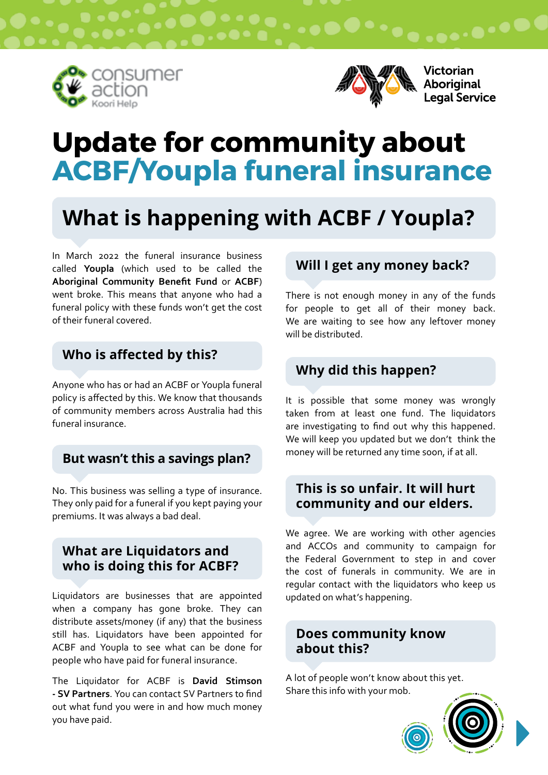



Victorian Aboriginal<br>Legal Service

# **Update for community about ACBF/Youpla funeral insurance**

## **What is happening with ACBF / Youpla?**

In March 2022 the funeral insurance business called **Youpla** (which used to be called the **Aboriginal Community Benefit Fund** or **ACBF**) went broke. This means that anyone who had a funeral policy with these funds won't get the cost of their funeral covered.

### **Who is affected by this?**

Anyone who has or had an ACBF or Youpla funeral policy is affected by this. We know that thousands of community members across Australia had this funeral insurance.

### **But wasn't this a savings plan?**

No. This business was selling a type of insurance. They only paid for a funeral if you kept paying your premiums. It was always a bad deal.

### **What are Liquidators and who is doing this for ACBF?**

Liquidators are businesses that are appointed when a company has gone broke. They can distribute assets/money (if any) that the business still has. Liquidators have been appointed for ACBF and Youpla to see what can be done for people who have paid for funeral insurance.

The Liquidator for ACBF is **David Stimson - SV Partners**. You can contact SV Partners to find out what fund you were in and how much money you have paid.

### **Will I get any money back?**

There is not enough money in any of the funds for people to get all of their money back. We are waiting to see how any leftover money will be distributed.

### **Why did this happen?**

It is possible that some money was wrongly taken from at least one fund. The liquidators are investigating to find out why this happened. We will keep you updated but we don't think the money will be returned any time soon, if at all.

#### **This is so unfair. It will hurt community and our elders.**

We agree. We are working with other agencies and ACCOs and community to campaign for the Federal Government to step in and cover the cost of funerals in community. We are in regular contact with the liquidators who keep us updated on what's happening.

### **Does community know about this?**

A lot of people won't know about this yet. Share this info with your mob.